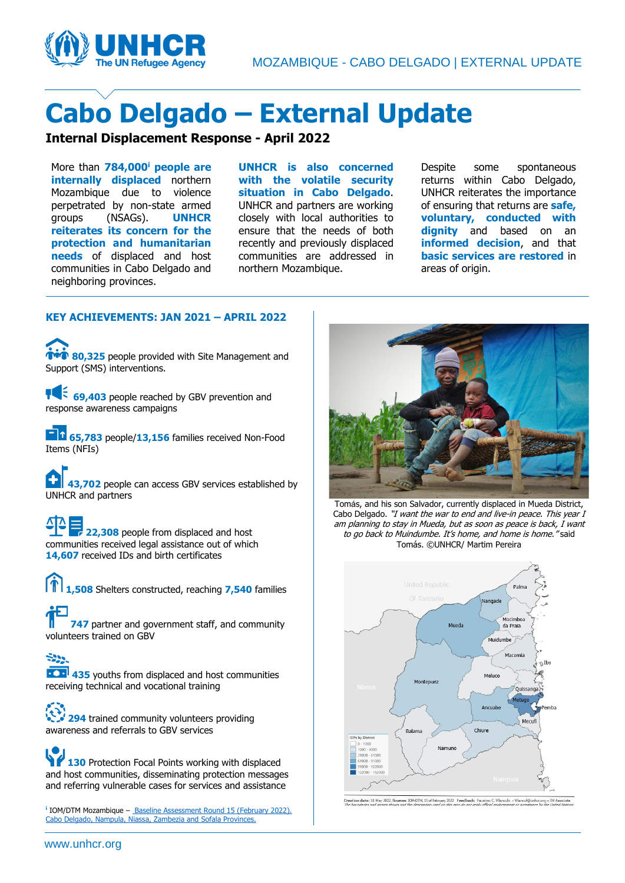

# **Cabo Delgado – External Update**

### **Internal Displacement Response - April 2022**

More than **784,000<sup>i</sup> people are internally displaced** northern Mozambique due to violence perpetrated by non-state armed groups (NSAGs). **UNHCR reiterates its concern for the protection and humanitarian needs** of displaced and host communities in Cabo Delgado and neighboring provinces.

**UNHCR is also concerned with the volatile security situation in Cabo Delgado**. UNHCR and partners are working closely with local authorities to ensure that the needs of both recently and previously displaced communities are addressed in northern Mozambique.

Despite some spontaneous returns within Cabo Delgado, UNHCR reiterates the importance of ensuring that returns are **safe, voluntary, conducted with dignity** and based on an **informed decision**, and that **basic services are restored** in areas of origin.

### **KEY ACHIEVEMENTS: JAN 2021 – APRIL 2022**

*THE* 80,325 people provided with Site Management and Support (SMS) interventions.

**105 69,403** people reached by GBV prevention and response awareness campaigns

**65,783** people/13,156 families received Non-Food Items (NFIs)

**43,702** people can access GBV services established by UNHCR and partners

**22,308** people from displaced and host communities received legal assistance out of which **14,607** received IDs and birth certificates

**1,508** Shelters constructed, reaching **7,540** families

**747** partner and government staff, and community volunteers trained on GBV

-200 **435** youths from displaced and host communities receiving technical and vocational training

**294** trained community volunteers providing awareness and referrals to GBV services

**130** Protection Focal Points working with displaced and host communities, disseminating protection messages and referring vulnerable cases for services and assistance

**i** IOM/DTM Mozambique – [Baseline Assessment Round 15 \(February 2022\).](https://displacement.iom.int/sites/default/files/public/reports/Baseline%20Assessment%20Report%20-%20Mozambique%20-%20R15%20-%20February%202022.pdf)  [Cabo Delgado, Nampula, Niassa, Zambezia and Sofala Provinces.](https://displacement.iom.int/sites/default/files/public/reports/Baseline%20Assessment%20Report%20-%20Mozambique%20-%20R15%20-%20February%202022.pdf)



Tomás, and his son Salvador, currently displaced in Mueda District, Cabo Delgado. "I want the war to end and live-in peace. This year I am planning to stay in Mueda, but as soon as peace is back, I want to go back to Muindumbe. It's home, and home is home." said Tomás. ©UNHCR/ Martim Pereira



n date: 18 May 2022. Sources: IOM-DTM, 15 of February 2022 Feedback: Faustino C. Vilanculo - Vilancuf@u  $hcr.org - IMA$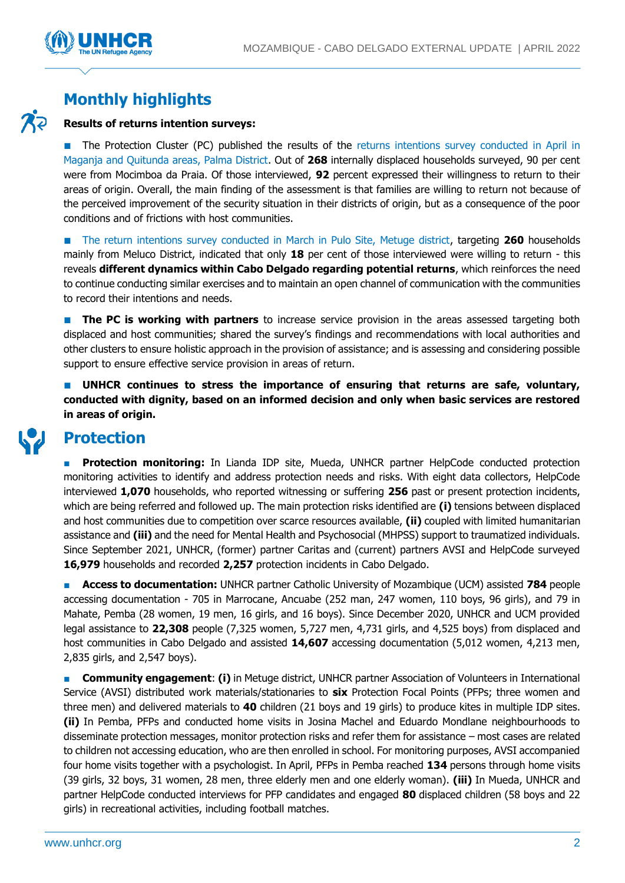

### **Monthly highlights**

### **Results of returns intention surveys:**

■ The Protection Cluster (PC) published the results of the returns intentions survey conducted in April in [Maganja and Quitunda areas, Palma District.](https://www.humanitarianresponse.info/sites/www.humanitarianresponse.info/files/documents/files/return_intentions_report_palma_final.pdf) Out of **268** internally displaced households surveyed, 90 per cent were from Mocimboa da Praia. Of those interviewed, **92** percent expressed their willingness to return to their areas of origin. Overall, the main finding of the assessment is that families are willing to return not because of the perceived improvement of the security situation in their districts of origin, but as a consequence of the poor conditions and of frictions with host communities.

■ The return [intentions survey conducted in March in Pulo Site, Metuge district,](https://reliefweb.int/report/mozambique/protection-assessment-return-intentions-cabo-delgado-metuge-pulo-site-18-march) targeting **260** households mainly from Meluco District, indicated that only **18** per cent of those interviewed were willing to return - this reveals **different dynamics within Cabo Delgado regarding potential returns**, which reinforces the need to continue conducting similar exercises and to maintain an open channel of communication with the communities to record their intentions and needs.

**The PC is working with partners** to increase service provision in the areas assessed targeting both displaced and host communities; shared the survey's findings and recommendations with local authorities and other clusters to ensure holistic approach in the provision of assistance; and is assessing and considering possible support to ensure effective service provision in areas of return.

**UNHCR** continues to stress the importance of ensuring that returns are safe, voluntary, **conducted with dignity, based on an informed decision and only when basic services are restored in areas of origin.**

### **Protection**

**Protection monitoring:** In Lianda IDP site, Mueda, UNHCR partner HelpCode conducted protection monitoring activities to identify and address protection needs and risks. With eight data collectors, HelpCode interviewed **1,070** households, who reported witnessing or suffering **256** past or present protection incidents, which are being referred and followed up. The main protection risks identified are **(i)** tensions between displaced and host communities due to competition over scarce resources available, **(ii)** coupled with limited humanitarian assistance and **(iii)** and the need for Mental Health and Psychosocial (MHPSS) support to traumatized individuals. Since September 2021, UNHCR, (former) partner Caritas and (current) partners AVSI and HelpCode surveyed **16,979** households and recorded **2,257** protection incidents in Cabo Delgado.

■ **Access to documentation:** UNHCR partner Catholic University of Mozambique (UCM) assisted **784** people accessing documentation - 705 in Marrocane, Ancuabe (252 man, 247 women, 110 boys, 96 girls), and 79 in Mahate, Pemba (28 women, 19 men, 16 girls, and 16 boys). Since December 2020, UNHCR and UCM provided legal assistance to **22,308** people (7,325 women, 5,727 men, 4,731 girls, and 4,525 boys) from displaced and host communities in Cabo Delgado and assisted **14,607** accessing documentation (5,012 women, 4,213 men, 2,835 girls, and 2,547 boys).

**Community engagement: (i)** in Metuge district, UNHCR partner Association of Volunteers in International Service (AVSI) distributed work materials/stationaries to **six** Protection Focal Points (PFPs; three women and three men) and delivered materials to **40** children (21 boys and 19 girls) to produce kites in multiple IDP sites. **(ii)** In Pemba, PFPs and conducted home visits in Josina Machel and Eduardo Mondlane neighbourhoods to disseminate protection messages, monitor protection risks and refer them for assistance – most cases are related to children not accessing education, who are then enrolled in school. For monitoring purposes, AVSI accompanied four home visits together with a psychologist. In April, PFPs in Pemba reached **134** persons through home visits (39 girls, 32 boys, 31 women, 28 men, three elderly men and one elderly woman). **(iii)** In Mueda, UNHCR and partner HelpCode conducted interviews for PFP candidates and engaged **80** displaced children (58 boys and 22 girls) in recreational activities, including football matches.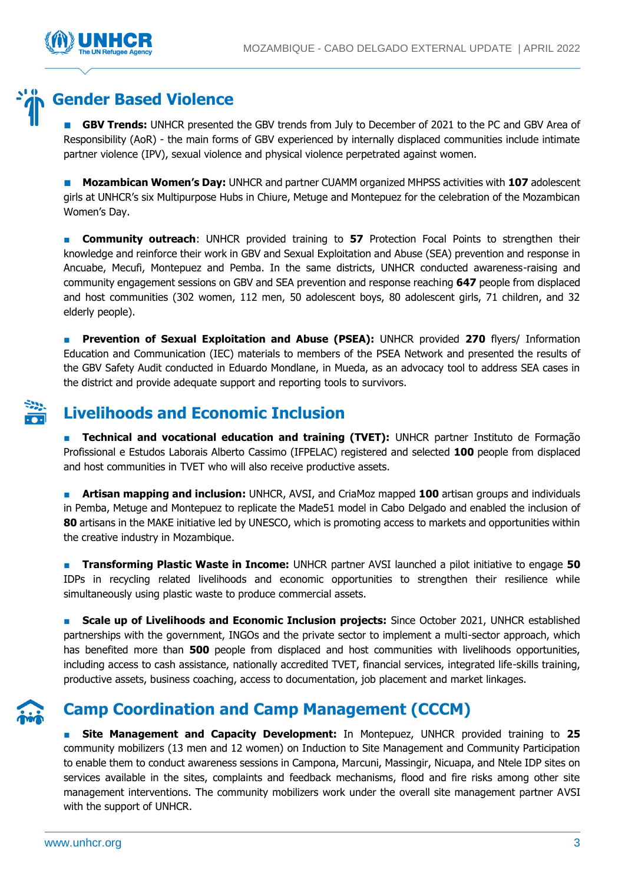

## **Gender Based Violence**

**GBV Trends:** UNHCR presented the GBV trends from July to December of 2021 to the PC and GBV Area of Responsibility (AoR) - the main forms of GBV experienced by internally displaced communities include intimate partner violence (IPV), sexual violence and physical violence perpetrated against women.

■ **Mozambican Women's Day:** UNHCR and partner CUAMM organized MHPSS activities with **107** adolescent girls at UNHCR's six Multipurpose Hubs in Chiure, Metuge and Montepuez for the celebration of the Mozambican Women's Day.

**EX Community outreach:** UNHCR provided training to 57 Protection Focal Points to strengthen their knowledge and reinforce their work in GBV and Sexual Exploitation and Abuse (SEA) prevention and response in Ancuabe, Mecufi, Montepuez and Pemba. In the same districts, UNHCR conducted awareness-raising and community engagement sessions on GBV and SEA prevention and response reaching **647** people from displaced and host communities (302 women, 112 men, 50 adolescent boys, 80 adolescent girls, 71 children, and 32 elderly people).

■ **Prevention of Sexual Exploitation and Abuse (PSEA):** UNHCR provided **270** flyers/ Information Education and Communication (IEC) materials to members of the PSEA Network and presented the results of the GBV Safety Audit conducted in Eduardo Mondlane, in Mueda, as an advocacy tool to address SEA cases in the district and provide adequate support and reporting tools to survivors.

## **Livelihoods and Economic Inclusion**

■ **Technical and vocational education and training (TVET):** UNHCR partner Instituto de Formação Profissional e Estudos Laborais Alberto Cassimo (IFPELAC) registered and selected **100** people from displaced and host communities in TVET who will also receive productive assets.

■ **Artisan mapping and inclusion:** UNHCR, AVSI, and CriaMoz mapped **100** artisan groups and individuals in Pemba, Metuge and Montepuez to replicate the Made51 model in Cabo Delgado and enabled the inclusion of **80** artisans in the MAKE initiative led by UNESCO, which is promoting access to markets and opportunities within the creative industry in Mozambique.

**Transforming Plastic Waste in Income:** UNHCR partner AVSI launched a pilot initiative to engage 50 IDPs in recycling related livelihoods and economic opportunities to strengthen their resilience while simultaneously using plastic waste to produce commercial assets.

■ **Scale up of Livelihoods and Economic Inclusion projects:** Since October 2021, UNHCR established partnerships with the government, INGOs and the private sector to implement a multi-sector approach, which has benefited more than **500** people from displaced and host communities with livelihoods opportunities, including access to cash assistance, nationally accredited TVET, financial services, integrated life-skills training, productive assets, business coaching, access to documentation, job placement and market linkages.

## **Camp Coordination and Camp Management (CCCM)**

■ **Site Management and Capacity Development:** In Montepuez, UNHCR provided training to **25** community mobilizers (13 men and 12 women) on Induction to Site Management and Community Participation to enable them to conduct awareness sessions in Campona, Marcuni, Massingir, Nicuapa, and Ntele IDP sites on services available in the sites, complaints and feedback mechanisms, flood and fire risks among other site management interventions. The community mobilizers work under the overall site management partner AVSI with the support of UNHCR.